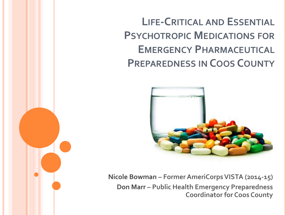**LIFE-CRITICAL AND ESSENTIAL PSYCHOTROPIC MEDICATIONS FOR EMERGENCY PHARMACEUTICAL PREPAREDNESS IN COOS COUNTY**



**Nicole Bowman – Former AmeriCorps VISTA (2014-15) Don Marr – Public Health Emergency Preparedness Coordinator for Coos County**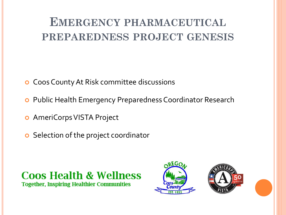### **EMERGENCY PHARMACEUTICAL PREPAREDNESS PROJECT GENESIS**

- **o** Coos County At Risk committee discussions
- Public Health Emergency Preparedness Coordinator Research
- AmeriCorps VISTA Project
- **o** Selection of the project coordinator

**Coos Health & Wellness Together, Inspiring Healthier Communities** 



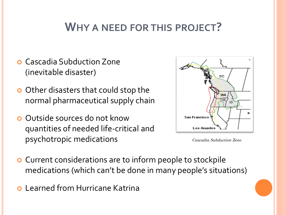#### **WHY A NEED FOR THIS PROJECT?**

- Cascadia Subduction Zone (inevitable disaster)
- **o** Other disasters that could stop the normal pharmaceutical supply chain
- **o** Outside sources do not know quantities of needed life-critical and psychotropic medications



*Cascadia Subduction Zone*

- **o** Current considerations are to inform people to stockpile medications (which can't be done in many people's situations)
- Learned from Hurricane Katrina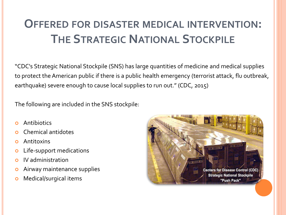## **OFFERED FOR DISASTER MEDICAL INTERVENTION: THE STRATEGIC NATIONAL STOCKPILE**

"CDC's Strategic National Stockpile (SNS) has large quantities of medicine and medical supplies to protect the American public if there is a public health emergency (terrorist attack, flu outbreak, earthquake) severe enough to cause local supplies to run out." (CDC, 2015)

The following are included in the SNS stockpile:

- Antibiotics
- Chemical antidotes
- Antitoxins
- **o** Life-support medications
- **o** IV administration
- **o** Airway maintenance supplies
- **o** Medical/surgical items

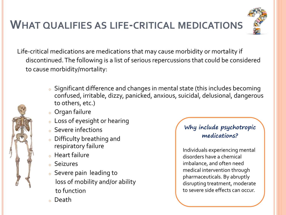### **WHAT QUALIFIES AS LIFE-CRITICAL MEDICATIONS**



Life-critical medications are medications that may cause morbidity or mortality if discontinued. The following is a list of serious repercussions that could be considered to cause morbidity/mortality:



- <sup>o</sup> Significant difference and changes in mental state (this includes becoming confused, irritable, dizzy, panicked, anxious, suicidal, delusional, dangerous to others, etc.)
- <sup>o</sup> Organ failure
- <sup>o</sup> Loss of eyesight or hearing
- <sup>o</sup> Severe infections
- <sup>o</sup> Difficulty breathing and respiratory failure
- <sup>o</sup> Heart failure
- <sup>o</sup> Seizures
- <sup>o</sup> Severe pain leading to loss of mobility and/or ability to function
- <sup>o</sup> Death

#### **Why include psychotropic medications?**

Individuals experiencing mental disorders have a chemical imbalance, and often need medical intervention through pharmaceuticals. By abruptly disrupting treatment, moderate to severe side effects can occur.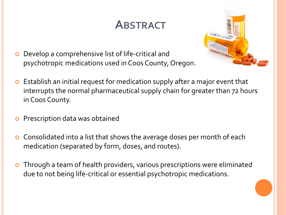## **ABSTRACT**



- Develop a comprehensive list of life-critical and psychotropic medications used in Coos County, Oregon.
- Establish an initial request for medication supply after a major event that interrupts the normal pharmaceutical supply chain for greater than 72 hours in Coos County.
- **o** Prescription data was obtained
- Consolidated into a list that shows the average doses per month of each medication (separated by form, doses, and routes).
- Through a team of health providers, various prescriptions were eliminated due to not being life-critical or essential psychotropic medications.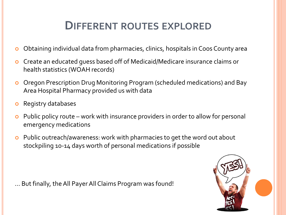#### **DIFFERENT ROUTES EXPLORED**

- Obtaining individual data from pharmacies, clinics, hospitals in Coos County area
- Create an educated guess based off of Medicaid/Medicare insurance claims or health statistics (WOAH records)
- Oregon Prescription Drug Monitoring Program (scheduled medications) and Bay Area Hospital Pharmacy provided us with data
- Registry databases
- Public policy route work with insurance providers in order to allow for personal emergency medications
- Public outreach/awareness: work with pharmacies to get the word out about stockpiling 10-14 days worth of personal medications if possible

… But finally, the All Payer All Claims Program was found!

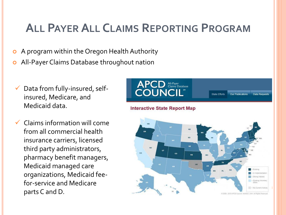## **ALL PAYER ALL CLAIMS REPORTING PROGRAM**

- A program within the Oregon Health Authority
- **o** All-Payer Claims Database throughout nation
- Data from fully-insured, selfinsured, Medicare, and Medicaid data.
- Claims information will come from all commercial health insurance carriers, licensed third party administrators, pharmacy benefit managers, Medicaid managed care organizations, Medicaid feefor-service and Medicare parts C and D.

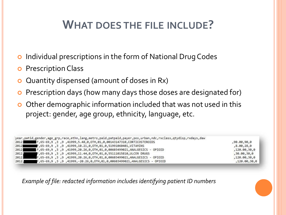## **WHAT DOES THE FILE INCLUDE?**

- o Individual prescriptions in the form of National Drug Codes
- **o** Prescription Class
- Quantity dispensed (amount of doses in Rx)
- **o** Prescription days (how many days those doses are designated for)
- o Other demographic information included that was not used in this project: gender, age group, ethnicity, language, etc.

|       | year, patid, gender, age grp, race, ethn, lang, metro, paid, patpaid, payer, pos, urban, ndc, rxclass, qtydisp, rxdays, daw |                 |
|-------|-----------------------------------------------------------------------------------------------------------------------------|-----------------|
|       | 2012 F,65-69,9, 3,9,41999,5.48,0,0TH,01,0,00143147310,CORTICOSTEROIDS                                                       | ,90.00,90,0     |
|       | 2012 F,65-69,9,3,9,41999,10.21,0,0TH,01,0,51991060401,VITAMINS                                                              | ,8.00,28,0      |
|       | 10IOD - 5.123310.00003499021,ANALGESICS (1,65-69,9) 1,8,41999,20.26,0,0TH,01,0,00003499021,ANALGESICS                       | ,120.00,30,0    |
|       | 2012, F,65-69,9,3,9,41999,11.44,0,0TH,01,0,55111015810,ULCER DRUGS                                                          | , 30.00, 30, 0  |
|       | 2012, F,65-69,9,3,9,41999,20.26,0,0TH,01,0,00603499021,ANALGESICS - OPIOID                                                  | , 120.00, 30, 0 |
| 2012, | F,65-69,9 ,3 ,9 ,41999,-20.26,0,OTH,01,0,00603499021,ANALGESICS - OPIOID                                                    | , 120.00, 30.0  |

*Example of file: redacted information includes identifying patient ID numbers*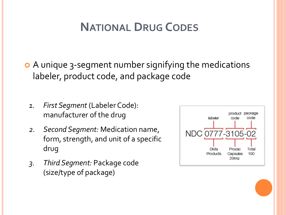## **NATIONAL DRUG CODES**

- A unique 3-segment number signifying the medications labeler, product code, and package code
	- *1. First Segment* (Labeler Code): manufacturer of the drug
	- *2. Second Segment:* Medication name, form, strength, and unit of a specific drug
	- *3. Third Segment:* Package code (size/type of package)

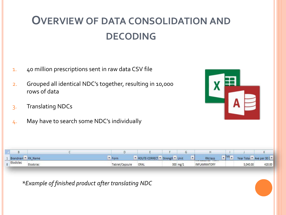## **OVERVIEW OF DATA CONSOLIDATION AND DECODING**

- 1. 40 million prescriptions sent in raw data CSV file
- 2. Grouped all identical NDC's together, resulting in 10,000 rows of data
- 3. Translating NDCs
- 4. May have to search some NDC's individually



|                    | D              |      |                                                    | G | н                                             |                                                                               |          | K                           |  |
|--------------------|----------------|------|----------------------------------------------------|---|-----------------------------------------------|-------------------------------------------------------------------------------|----------|-----------------------------|--|
| Brandnam Y RX Name |                |      |                                                    |   | RXclass                                       |                                                                               |          | Year Total v Ave per 30 E v |  |
| Etodolac           | Tablet/Capsule | ORAL |                                                    |   | <b>INFLAMMATORY</b>                           |                                                                               | 5,040.00 | 420.00                      |  |
|                    |                |      |                                                    |   |                                               |                                                                               |          |                             |  |
|                    |                |      |                                                    |   |                                               |                                                                               |          |                             |  |
|                    |                |      |                                                    |   |                                               |                                                                               |          |                             |  |
|                    |                |      |                                                    |   |                                               |                                                                               |          |                             |  |
|                    |                |      |                                                    |   |                                               |                                                                               |          |                             |  |
|                    |                | Form | *Example of finished product after translating NDC |   | ROUTE-CORRECT V Strength V Unit<br>$300$ mg/1 | $\overline{\mathbf{v}}$<br><b><i><u><b>DESPERTIVE ANTISTICITI</b></u></i></b> |          | $\sqrt{VQ_{\nu}}$           |  |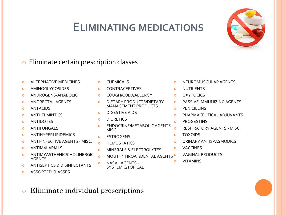#### **ELIMINATING MEDICATIONS**



- **o** ALTERNATIVE MEDICINES
- **o** AMINOGLYCOSIDES
- **o** ANDROGENS-ANABOLIC
- o ANORECTAL AGENTS
- **o** ANTACIDS
- **o** ANTHELMINTICS
- **o** ANTIDOTES
- **o** ANTIFUNGALS
- **o** ANTIHYPERLIPIDEMICS
- **O** ANTI-INFECTIVE AGENTS MISC.
- **O** ANTIMALARIALS
- **o** ANTIMYASTHENIC/CHOLINERGIC AGENTS
- **o** ANTISEPTICS & DISINFECTANTS
- **o** ASSORTED CLASSES
- **o** CHEMICALS
- **o** CONTRACEPTIVES
- o COUGH/COLD/ALLERGY
- **O** DIETARY PRODUCTS/DIETARY MANAGEMENT PRODUCTS
- **o** DIGESTIVE AIDS
- **o** DIURETICS
- o ENDOCRINE/METABOLIC AGENTS MISC.
- o ESTROGENS
- **O** HEMOSTATICS
- **o** MINERALS & ELECTROLYTES
- o MOUTH/THROAT/DENTAL AGENTS<sup>O</sup>
- o NASAL AGENTS -SYSTEMIC/TOPICAL
- **O** NEUROMUSCULAR AGENTS
- **o** NUTRIENTS
- **o** OXYTOCICS
- **o** PASSIVE IMMUNIZING AGENTS
- **o** PENICILLINS
- **O** PHARMACEUTICAL ADJUVANTS
- **o** PROGESTINS
	- RESPIRATORY AGENTS MISC.
- TOXOIDS
- URINARY ANTISPASMODICS
- VACCINES
	- VAGINAL PRODUCTS
- VITAMINS

o Eliminate individual prescriptions

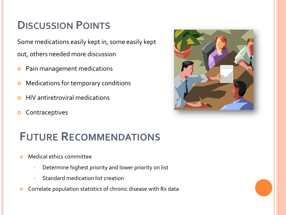#### **DISCUSSION POINTS**

Some medications easily kept in, some easily kept out, others needed more discussion

- **o** Pain management medications
- **o** Medications for temporary conditions
- HIV antiretroviral medications
- **o** Contraceptives



#### **FUTURE RECOMMENDATIONS**

- **o** Medical ethics committee
	- Determine highest priority and lower priority on list
	- Standard medication list creation
- **o** Correlate population statistics of chronic disease with Rx data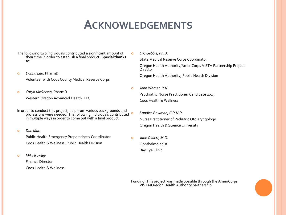#### **ACKNOWLEDGEMENTS**

- The following two individuals contributed a significant amount of their time in order to establish a final product. **Special thanks to:**
- *Donna Lau,* PharmD Volunteer with Coos County Medical Reserve Corps
- *Caryn Mickelson,* PharmD Western Oregon Advanced Health, LLC
- In order to conduct this project, help from various backgrounds and professions were needed. The following individuals contributed in multiple ways in order to come out with a final product:
- *Don Marr*

Public Health Emergency Preparedness Coordinator Coos Health & Wellness, Public Health Division

*Mike Rowley*

Finance Director Coos Health & Wellness *Eric Gebbie, Ph.D.*

State Medical Reserve Corps Coordinator Oregon Health Authority/AmeriCorps VISTA Partnership Project **Director** Oregon Health Authority, Public Health Division

 *John Warner, R.N.* Psychiatric Nurse Practitioner Candidate 2015 Coos Health & Wellness

 *Kandice Bowman, C.P.N.P.* Nurse Practitioner of Pediatric Otolaryngology Oregon Health & Science University

 *Jane Gilbert, M.D.* Ophthalmologist Bay Eye Clinic

Funding: This project was made possible through the AmeriCorps VISTA/Oregon Health Authority partnership